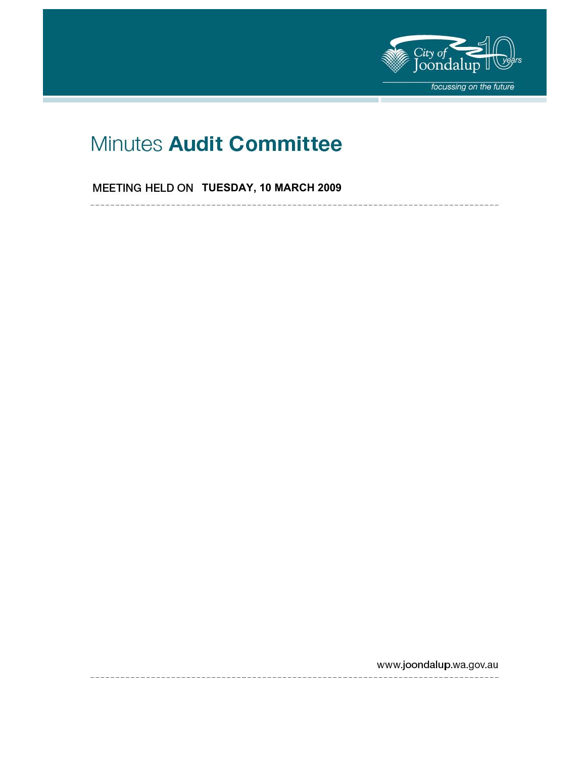

# Minutes Audit Committee

**MEETING HELD ON TUESDAY, 10 MARCH 2009** 

 $-- - - -$ 

www.joondalup.wa.gov.au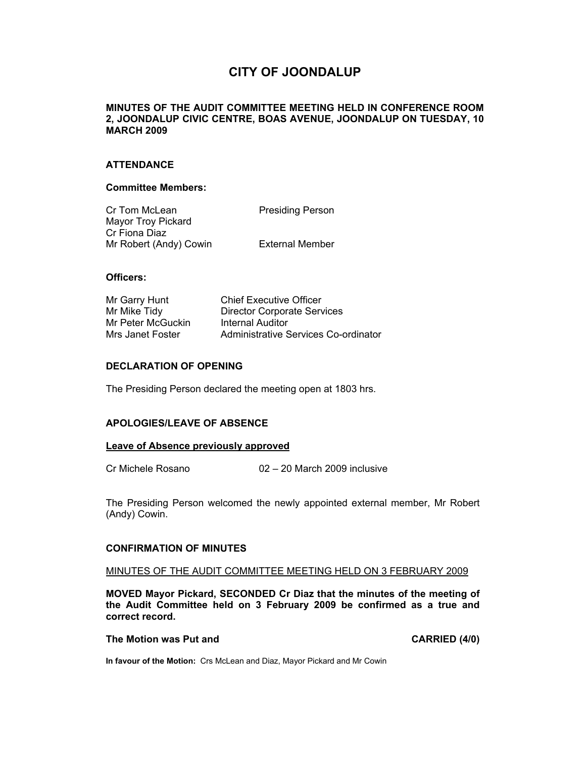### **CITY OF JOONDALUP**

#### **MINUTES OF THE AUDIT COMMITTEE MEETING HELD IN CONFERENCE ROOM 2, JOONDALUP CIVIC CENTRE, BOAS AVENUE, JOONDALUP ON TUESDAY, 10 MARCH 2009**

#### **ATTENDANCE**

#### **Committee Members:**

| Cr Tom McLean             | <b>Presiding Person</b> |
|---------------------------|-------------------------|
| <b>Mayor Troy Pickard</b> |                         |
| Cr Fiona Diaz             |                         |
| Mr Robert (Andy) Cowin    | External Member         |

#### **Officers:**

| Mr Garry Hunt     | <b>Chief Executive Officer</b>       |
|-------------------|--------------------------------------|
| Mr Mike Tidy      | <b>Director Corporate Services</b>   |
| Mr Peter McGuckin | Internal Auditor                     |
| Mrs Janet Foster  | Administrative Services Co-ordinator |

#### **DECLARATION OF OPENING**

The Presiding Person declared the meeting open at 1803 hrs.

#### **APOLOGIES/LEAVE OF ABSENCE**

#### **Leave of Absence previously approved**

Cr Michele Rosano 02 – 20 March 2009 inclusive

The Presiding Person welcomed the newly appointed external member, Mr Robert (Andy) Cowin.

#### **CONFIRMATION OF MINUTES**

#### MINUTES OF THE AUDIT COMMITTEE MEETING HELD ON 3 FEBRUARY 2009

**MOVED Mayor Pickard, SECONDED Cr Diaz that the minutes of the meeting of the Audit Committee held on 3 February 2009 be confirmed as a true and correct record.** 

#### **The Motion was Put and CARRIED (4/0) CARRIED (4/0)**

**In favour of the Motion:** Crs McLean and Diaz, Mayor Pickard and Mr Cowin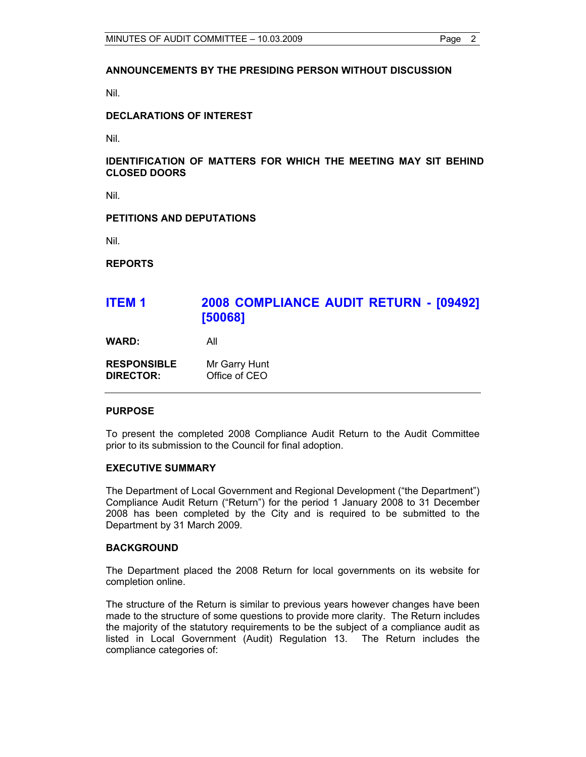#### **ANNOUNCEMENTS BY THE PRESIDING PERSON WITHOUT DISCUSSION**

Nil.

#### **DECLARATIONS OF INTEREST**

Nil.

#### **IDENTIFICATION OF MATTERS FOR WHICH THE MEETING MAY SIT BEHIND CLOSED DOORS**

Nil.

#### **PETITIONS AND DEPUTATIONS**

Nil.

**REPORTS** 

## **ITEM 1 2008 COMPLIANCE AUDIT RETURN - [09492] [50068]**

**WARD:** All

| <b>RESPONSIBLE</b> | Mr Garry Hunt |
|--------------------|---------------|
| <b>DIRECTOR:</b>   | Office of CEO |

#### **PURPOSE**

To present the completed 2008 Compliance Audit Return to the Audit Committee prior to its submission to the Council for final adoption.

#### **EXECUTIVE SUMMARY**

The Department of Local Government and Regional Development ("the Department") Compliance Audit Return ("Return") for the period 1 January 2008 to 31 December 2008 has been completed by the City and is required to be submitted to the Department by 31 March 2009.

#### **BACKGROUND**

The Department placed the 2008 Return for local governments on its website for completion online.

The structure of the Return is similar to previous years however changes have been made to the structure of some questions to provide more clarity. The Return includes the majority of the statutory requirements to be the subject of a compliance audit as listed in Local Government (Audit) Regulation 13. The Return includes the compliance categories of: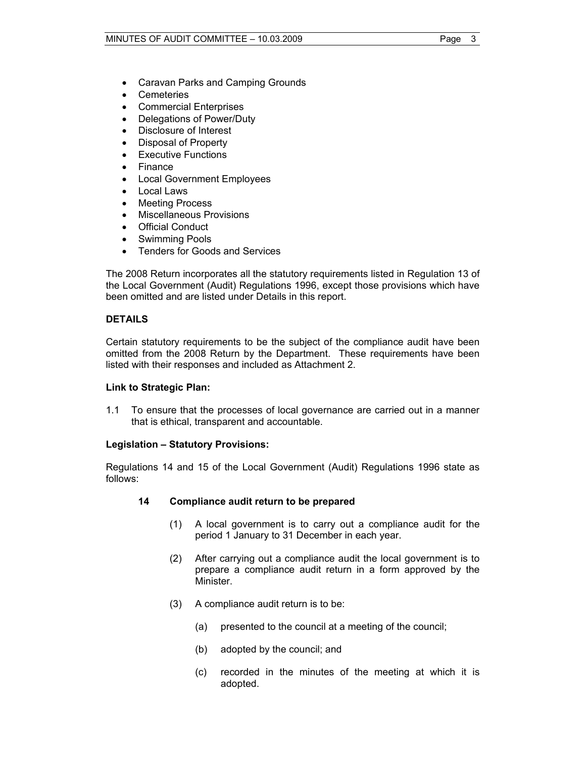- Caravan Parks and Camping Grounds
- Cemeteries
- Commercial Enterprises
- Delegations of Power/Duty
- Disclosure of Interest
- Disposal of Property
- **Executive Functions**
- Finance
- Local Government Employees
- Local Laws
- Meeting Process
- Miscellaneous Provisions
- Official Conduct
- Swimming Pools
- Tenders for Goods and Services

The 2008 Return incorporates all the statutory requirements listed in Regulation 13 of the Local Government (Audit) Regulations 1996, except those provisions which have been omitted and are listed under Details in this report.

#### **DETAILS**

Certain statutory requirements to be the subject of the compliance audit have been omitted from the 2008 Return by the Department. These requirements have been listed with their responses and included as Attachment 2.

#### **Link to Strategic Plan:**

1.1 To ensure that the processes of local governance are carried out in a manner that is ethical, transparent and accountable.

#### **Legislation – Statutory Provisions:**

Regulations 14 and 15 of the Local Government (Audit) Regulations 1996 state as follows:

#### **14 Compliance audit return to be prepared**

- (1) A local government is to carry out a compliance audit for the period 1 January to 31 December in each year.
- (2) After carrying out a compliance audit the local government is to prepare a compliance audit return in a form approved by the Minister.
- (3) A compliance audit return is to be:
	- (a) presented to the council at a meeting of the council;
	- (b) adopted by the council; and
	- (c) recorded in the minutes of the meeting at which it is adopted.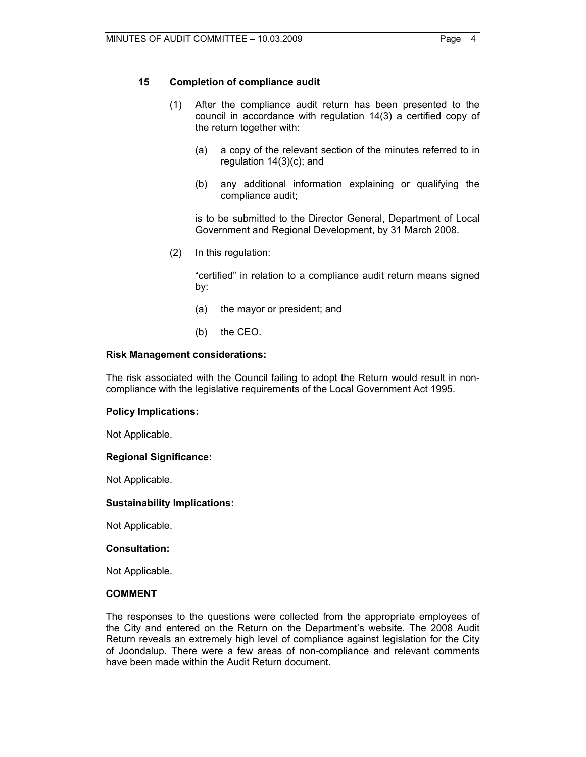#### **15 Completion of compliance audit**

- (1) After the compliance audit return has been presented to the council in accordance with regulation 14(3) a certified copy of the return together with:
	- (a) a copy of the relevant section of the minutes referred to in regulation 14(3)(c); and
	- (b) any additional information explaining or qualifying the compliance audit;

 is to be submitted to the Director General, Department of Local Government and Regional Development, by 31 March 2008.

(2) In this regulation:

 "certified" in relation to a compliance audit return means signed by:

- (a) the mayor or president; and
- (b) the CEO.

#### **Risk Management considerations:**

The risk associated with the Council failing to adopt the Return would result in noncompliance with the legislative requirements of the Local Government Act 1995.

#### **Policy Implications:**

Not Applicable.

#### **Regional Significance:**

Not Applicable.

#### **Sustainability Implications:**

Not Applicable.

#### **Consultation:**

Not Applicable.

#### **COMMENT**

The responses to the questions were collected from the appropriate employees of the City and entered on the Return on the Department's website. The 2008 Audit Return reveals an extremely high level of compliance against legislation for the City of Joondalup. There were a few areas of non-compliance and relevant comments have been made within the Audit Return document.